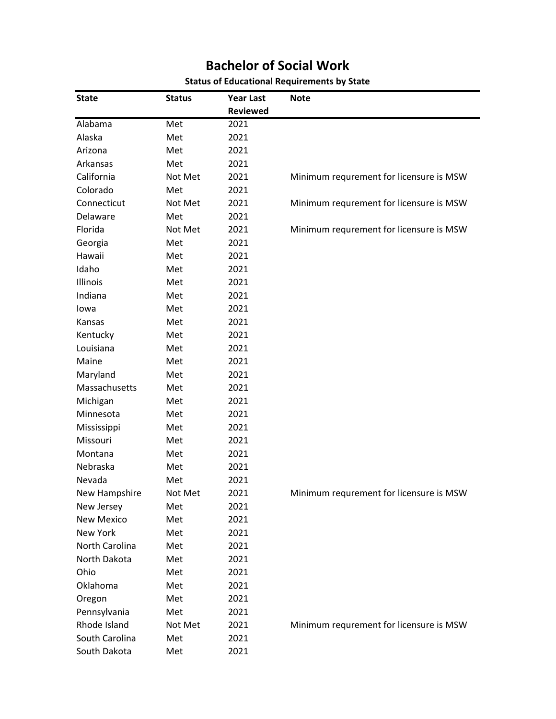| <b>State</b>      | <b>Status</b> | <b>Year Last</b> | <b>Note</b>                             |
|-------------------|---------------|------------------|-----------------------------------------|
|                   |               | <b>Reviewed</b>  |                                         |
| Alabama           | Met           | 2021             |                                         |
| Alaska            | Met           | 2021             |                                         |
| Arizona           | Met           | 2021             |                                         |
| Arkansas          | Met           | 2021             |                                         |
| California        | Not Met       | 2021             | Minimum requrement for licensure is MSW |
| Colorado          | Met           | 2021             |                                         |
| Connecticut       | Not Met       | 2021             | Minimum requrement for licensure is MSW |
| Delaware          | Met           | 2021             |                                         |
| Florida           | Not Met       | 2021             | Minimum requrement for licensure is MSW |
| Georgia           | Met           | 2021             |                                         |
| Hawaii            | Met           | 2021             |                                         |
| Idaho             | Met           | 2021             |                                         |
| Illinois          | Met           | 2021             |                                         |
| Indiana           | Met           | 2021             |                                         |
| lowa              | Met           | 2021             |                                         |
| Kansas            | Met           | 2021             |                                         |
| Kentucky          | Met           | 2021             |                                         |
| Louisiana         | Met           | 2021             |                                         |
| Maine             | Met           | 2021             |                                         |
| Maryland          | Met           | 2021             |                                         |
| Massachusetts     | Met           | 2021             |                                         |
| Michigan          | Met           | 2021             |                                         |
| Minnesota         | Met           | 2021             |                                         |
| Mississippi       | Met           | 2021             |                                         |
| Missouri          | Met           | 2021             |                                         |
| Montana           | Met           | 2021             |                                         |
| Nebraska          | Met           | 2021             |                                         |
| Nevada            | Met           | 2021             |                                         |
| New Hampshire     | Not Met       | 2021             | Minimum requrement for licensure is MSW |
| New Jersey        | Met           | 2021             |                                         |
| <b>New Mexico</b> | Met           | 2021             |                                         |
| New York          | Met           | 2021             |                                         |
| North Carolina    | Met           | 2021             |                                         |
| North Dakota      | Met           | 2021             |                                         |
| Ohio              | Met           | 2021             |                                         |
| Oklahoma          | Met           | 2021             |                                         |
| Oregon            | Met           | 2021             |                                         |
| Pennsylvania      | Met           | 2021             |                                         |
| Rhode Island      | Not Met       | 2021             | Minimum requrement for licensure is MSW |
| South Carolina    | Met           | 2021             |                                         |
| South Dakota      | Met           | 2021             |                                         |
|                   |               |                  |                                         |

## **Bachelor of Social Work Status of Educational Requirements by State**